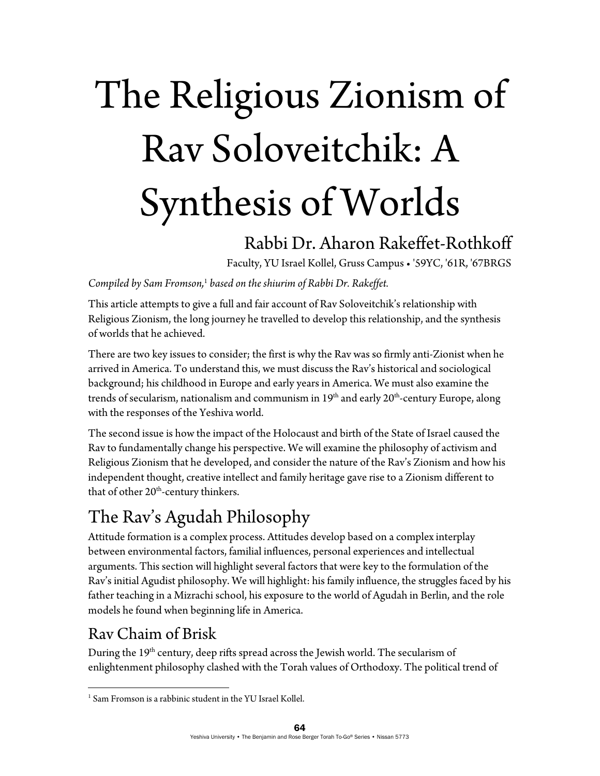# The Religious Zionism of Rav Soloveitchik: A Synthesis of Worlds

## Rabbi Dr. Aharon Rakeffet-Rothkoff

Faculty, YU Israel Kollel, Gruss Campus • '59YC, '61R, '67BRGS

Compiled by Sam Fromson,<sup>1</sup> based on the shiurim of Rabbi Dr. Rakeffet.

This article attempts to give a full and fair account of Rav Soloveitchik's relationship with Religious Zionism, the long journey he travelled to develop this relationship, and the synthesis of worlds that he achieved.

There are two key issues to consider; the first is why the Rav was so firmly anti-Zionist when he arrived in America. To understand this, we must discuss the Rav's historical and sociological background; his childhood in Europe and early years in America. We must also examine the trends of secularism, nationalism and communism in  $19<sup>th</sup>$  and early  $20<sup>th</sup>$ -century Europe, along with the responses of the Yeshiva world.

The second issue is how the impact of the Holocaust and birth of the State of Israel caused the Rav to fundamentally change his perspective. We will examine the philosophy of activism and Religious Zionism that he developed, and consider the nature of the Rav's Zionism and how his independent thought, creative intellect and family heritage gave rise to a Zionism different to that of other 20<sup>th</sup>-century thinkers.

## The Rav's Agudah Philosophy

Attitude formation is a complex process. Attitudes develop based on a complex interplay between environmental factors, familial influences, personal experiences and intellectual arguments. This section will highlight several factors that were key to the formulation of the Rav's initial Agudist philosophy. We will highlight: his family influence, the struggles faced by his father teaching in a Mizrachi school, his exposure to the world of Agudah in Berlin, and the role models he found when beginning life in America.

## Rav Chaim of Brisk

During the 19<sup>th</sup> century, deep rifts spread across the Jewish world. The secularism of enlightenment philosophy clashed with the Torah values of Orthodoxy. The political trend of

  $<sup>1</sup>$  Sam Fromson is a rabbinic student in the YU Israel Kollel.</sup>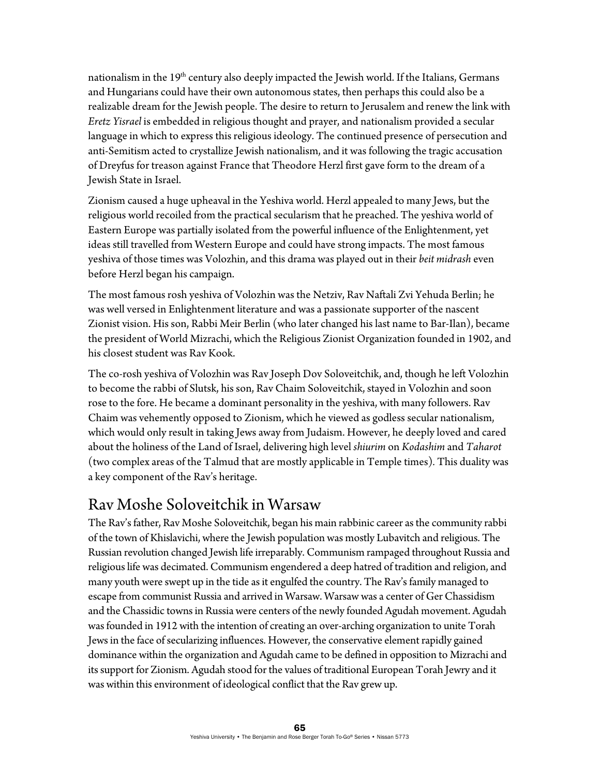nationalism in the 19<sup>th</sup> century also deeply impacted the Jewish world. If the Italians, Germans and Hungarians could have their own autonomous states, then perhaps this could also be a realizable dream for the Jewish people. The desire to return to Jerusalem and renew the link with *Eretz Yisrael* is embedded in religious thought and prayer, and nationalism provided a secular language in which to express this religious ideology. The continued presence of persecution and anti-Semitism acted to crystallize Jewish nationalism, and it was following the tragic accusation of Dreyfus for treason against France that Theodore Herzl first gave form to the dream of a Jewish State in Israel.

Zionism caused a huge upheaval in the Yeshiva world. Herzl appealed to many Jews, but the religious world recoiled from the practical secularism that he preached. The yeshiva world of Eastern Europe was partially isolated from the powerful influence of the Enlightenment, yet ideas still travelled from Western Europe and could have strong impacts. The most famous yeshiva of those times was Volozhin, and this drama was played out in their *beit midrash* even before Herzl began his campaign.

The most famous rosh yeshiva of Volozhin was the Netziv, Rav Naftali Zvi Yehuda Berlin; he was well versed in Enlightenment literature and was a passionate supporter of the nascent Zionist vision. His son, Rabbi Meir Berlin (who later changed his last name to Bar-Ilan), became the president of World Mizrachi, which the Religious Zionist Organization founded in 1902, and his closest student was Rav Kook.

The co-rosh yeshiva of Volozhin was Rav Joseph Dov Soloveitchik, and, though he left Volozhin to become the rabbi of Slutsk, his son, Rav Chaim Soloveitchik, stayed in Volozhin and soon rose to the fore. He became a dominant personality in the yeshiva, with many followers. Rav Chaim was vehemently opposed to Zionism, which he viewed as godless secular nationalism, which would only result in taking Jews away from Judaism. However, he deeply loved and cared about the holiness of the Land of Israel, delivering high level *shiurim* on *Kodashim* and *Taharot*  (two complex areas of the Talmud that are mostly applicable in Temple times)*.* This duality was a key component of the Rav's heritage.

#### Rav Moshe Soloveitchik in Warsaw

The Rav's father, Rav Moshe Soloveitchik, began his main rabbinic career as the community rabbi of the town of Khislavichi, where the Jewish population was mostly Lubavitch and religious. The Russian revolution changed Jewish life irreparably. Communism rampaged throughout Russia and religious life was decimated. Communism engendered a deep hatred of tradition and religion, and many youth were swept up in the tide as it engulfed the country. The Rav's family managed to escape from communist Russia and arrived in Warsaw. Warsaw was a center of Ger Chassidism and the Chassidic towns in Russia were centers of the newly founded Agudah movement. Agudah was founded in 1912 with the intention of creating an over-arching organization to unite Torah Jews in the face of secularizing influences. However, the conservative element rapidly gained dominance within the organization and Agudah came to be defined in opposition to Mizrachi and its support for Zionism. Agudah stood for the values of traditional European Torah Jewry and it was within this environment of ideological conflict that the Rav grew up.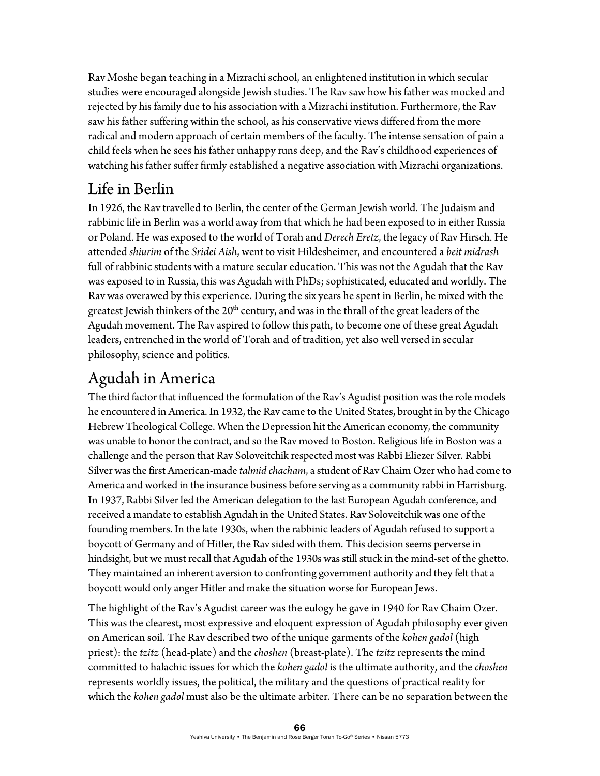Rav Moshe began teaching in a Mizrachi school, an enlightened institution in which secular studies were encouraged alongside Jewish studies. The Rav saw how his father was mocked and rejected by his family due to his association with a Mizrachi institution. Furthermore, the Rav saw his father suffering within the school, as his conservative views differed from the more radical and modern approach of certain members of the faculty. The intense sensation of pain a child feels when he sees his father unhappy runs deep, and the Rav's childhood experiences of watching his father suffer firmly established a negative association with Mizrachi organizations.

## Life in Berlin

In 1926, the Rav travelled to Berlin, the center of the German Jewish world. The Judaism and rabbinic life in Berlin was a world away from that which he had been exposed to in either Russia or Poland. He was exposed to the world of Torah and *Derech Eretz*, the legacy of Rav Hirsch. He attended *shiurim* of the *Sridei Aish*, went to visit Hildesheimer, and encountered a *beit midrash* full of rabbinic students with a mature secular education. This was not the Agudah that the Rav was exposed to in Russia, this was Agudah with PhDs; sophisticated, educated and worldly. The Rav was overawed by this experience. During the six years he spent in Berlin, he mixed with the greatest Jewish thinkers of the  $20<sup>th</sup>$  century, and was in the thrall of the great leaders of the Agudah movement. The Rav aspired to follow this path, to become one of these great Agudah leaders, entrenched in the world of Torah and of tradition, yet also well versed in secular philosophy, science and politics.

## Agudah in America

The third factor that influenced the formulation of the Rav's Agudist position was the role models he encountered in America. In 1932, the Rav came to the United States, brought in by the Chicago Hebrew Theological College. When the Depression hit the American economy, the community was unable to honor the contract, and so the Rav moved to Boston. Religious life in Boston was a challenge and the person that Rav Soloveitchik respected most was Rabbi Eliezer Silver. Rabbi Silver was the first American-made *talmid chacham*, a student of Rav Chaim Ozer who had come to America and worked in the insurance business before serving as a community rabbi in Harrisburg. In 1937, Rabbi Silver led the American delegation to the last European Agudah conference, and received a mandate to establish Agudah in the United States. Rav Soloveitchik was one of the founding members. In the late 1930s, when the rabbinic leaders of Agudah refused to support a boycott of Germany and of Hitler, the Rav sided with them. This decision seems perverse in hindsight, but we must recall that Agudah of the 1930s was still stuck in the mind-set of the ghetto. They maintained an inherent aversion to confronting government authority and they felt that a boycott would only anger Hitler and make the situation worse for European Jews.

The highlight of the Rav's Agudist career was the eulogy he gave in 1940 for Rav Chaim Ozer. This was the clearest, most expressive and eloquent expression of Agudah philosophy ever given on American soil. The Rav described two of the unique garments of the *kohen gadol* (high priest): the *tzitz* (head-plate) and the *choshen* (breast-plate). The *tzitz* represents the mind committed to halachic issues for which the *kohen gadol* is the ultimate authority, and the *choshen* represents worldly issues, the political, the military and the questions of practical reality for which the *kohen gadol* must also be the ultimate arbiter. There can be no separation between the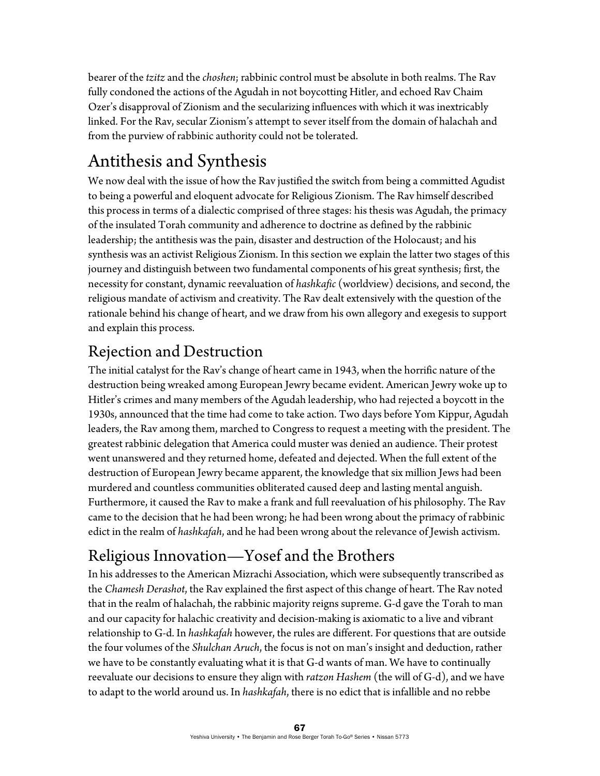bearer of the *tzitz* and the *choshen*; rabbinic control must be absolute in both realms. The Rav fully condoned the actions of the Agudah in not boycotting Hitler, and echoed Rav Chaim Ozer's disapproval of Zionism and the secularizing influences with which it was inextricably linked. For the Rav, secular Zionism's attempt to sever itself from the domain of halachah and from the purview of rabbinic authority could not be tolerated.

# Antithesis and Synthesis

We now deal with the issue of how the Rav justified the switch from being a committed Agudist to being a powerful and eloquent advocate for Religious Zionism. The Rav himself described this process in terms of a dialectic comprised of three stages: his thesis was Agudah, the primacy of the insulated Torah community and adherence to doctrine as defined by the rabbinic leadership; the antithesis was the pain, disaster and destruction of the Holocaust; and his synthesis was an activist Religious Zionism. In this section we explain the latter two stages of this journey and distinguish between two fundamental components of his great synthesis; first, the necessity for constant, dynamic reevaluation of *hashkafic* (worldview) decisions, and second, the religious mandate of activism and creativity. The Rav dealt extensively with the question of the rationale behind his change of heart, and we draw from his own allegory and exegesis to support and explain this process.

## Rejection and Destruction

The initial catalyst for the Rav's change of heart came in 1943, when the horrific nature of the destruction being wreaked among European Jewry became evident. American Jewry woke up to Hitler's crimes and many members of the Agudah leadership, who had rejected a boycott in the 1930s, announced that the time had come to take action. Two days before Yom Kippur, Agudah leaders, the Rav among them, marched to Congress to request a meeting with the president. The greatest rabbinic delegation that America could muster was denied an audience. Their protest went unanswered and they returned home, defeated and dejected. When the full extent of the destruction of European Jewry became apparent, the knowledge that six million Jews had been murdered and countless communities obliterated caused deep and lasting mental anguish. Furthermore, it caused the Rav to make a frank and full reevaluation of his philosophy. The Rav came to the decision that he had been wrong; he had been wrong about the primacy of rabbinic edict in the realm of *hashkafah*, and he had been wrong about the relevance of Jewish activism.

# Religious Innovation—Yosef and the Brothers

In his addresses to the American Mizrachi Association, which were subsequently transcribed as the *Chamesh Derashot*, the Rav explained the first aspect of this change of heart. The Rav noted that in the realm of halachah, the rabbinic majority reigns supreme. G-d gave the Torah to man and our capacity for halachic creativity and decision-making is axiomatic to a live and vibrant relationship to G-d. In *hashkafah* however, the rules are different. For questions that are outside the four volumes of the *Shulchan Aruch*, the focus is not on man's insight and deduction, rather we have to be constantly evaluating what it is that G-d wants of man. We have to continually reevaluate our decisions to ensure they align with *ratzon Hashem* (the will of G-d), and we have to adapt to the world around us. In *hashkafah*, there is no edict that is infallible and no rebbe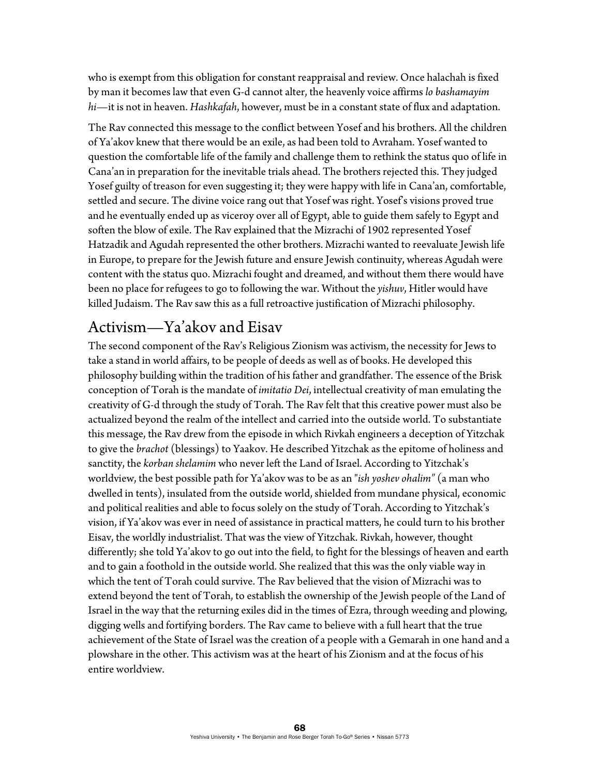who is exempt from this obligation for constant reappraisal and review. Once halachah is fixed by man it becomes law that even G-d cannot alter, the heavenly voice affirms *lo bashamayim hi—*it is not in heaven. *Hashkafah*, however, must be in a constant state of flux and adaptation.

The Rav connected this message to the conflict between Yosef and his brothers. All the children of Ya'akov knew that there would be an exile, as had been told to Avraham. Yosef wanted to question the comfortable life of the family and challenge them to rethink the status quo of life in Cana'an in preparation for the inevitable trials ahead. The brothers rejected this. They judged Yosef guilty of treason for even suggesting it; they were happy with life in Cana'an, comfortable, settled and secure. The divine voice rang out that Yosef was right. Yosef's visions proved true and he eventually ended up as viceroy over all of Egypt, able to guide them safely to Egypt and soften the blow of exile. The Rav explained that the Mizrachi of 1902 represented Yosef Hatzadik and Agudah represented the other brothers. Mizrachi wanted to reevaluate Jewish life in Europe, to prepare for the Jewish future and ensure Jewish continuity, whereas Agudah were content with the status quo. Mizrachi fought and dreamed, and without them there would have been no place for refugees to go to following the war. Without the *yishuv*, Hitler would have killed Judaism. The Rav saw this as a full retroactive justification of Mizrachi philosophy.

### Activism—Ya'akov and Eisav

The second component of the Rav's Religious Zionism was activism, the necessity for Jews to take a stand in world affairs, to be people of deeds as well as of books. He developed this philosophy building within the tradition of his father and grandfather. The essence of the Brisk conception of Torah is the mandate of *imitatio Dei*, intellectual creativity of man emulating the creativity of G-d through the study of Torah. The Rav felt that this creative power must also be actualized beyond the realm of the intellect and carried into the outside world. To substantiate this message, the Rav drew from the episode in which Rivkah engineers a deception of Yitzchak to give the *brachot* (blessings) to Yaakov. He described Yitzchak as the epitome of holiness and sanctity, the *korban shelamim* who never left the Land of Israel. According to Yitzchak's worldview, the best possible path for Ya'akov was to be as an "*ish yoshev ohalim"* (a man who dwelled in tents), insulated from the outside world, shielded from mundane physical, economic and political realities and able to focus solely on the study of Torah. According to Yitzchak's vision, if Ya'akov was ever in need of assistance in practical matters, he could turn to his brother Eisav, the worldly industrialist. That was the view of Yitzchak. Rivkah, however, thought differently; she told Ya'akov to go out into the field, to fight for the blessings of heaven and earth and to gain a foothold in the outside world. She realized that this was the only viable way in which the tent of Torah could survive. The Rav believed that the vision of Mizrachi was to extend beyond the tent of Torah, to establish the ownership of the Jewish people of the Land of Israel in the way that the returning exiles did in the times of Ezra, through weeding and plowing, digging wells and fortifying borders. The Rav came to believe with a full heart that the true achievement of the State of Israel was the creation of a people with a Gemarah in one hand and a plowshare in the other. This activism was at the heart of his Zionism and at the focus of his entire worldview.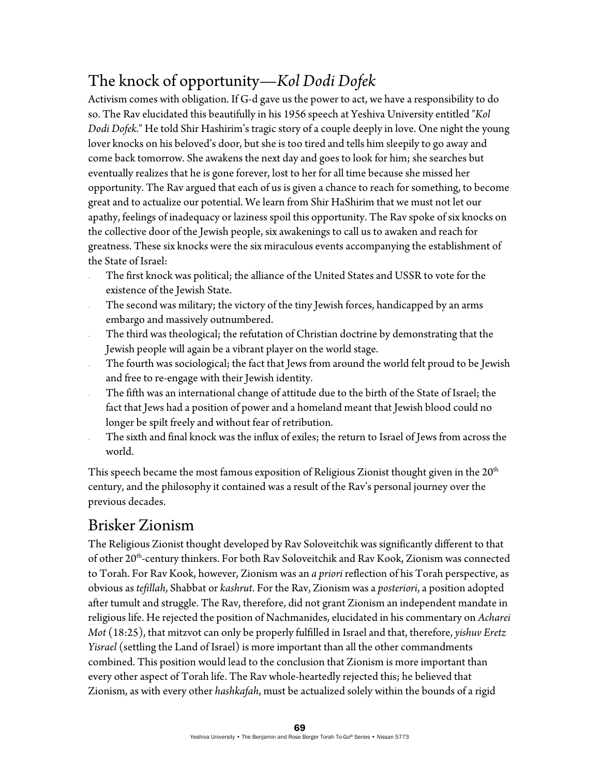## The knock of opportunity—*Kol Dodi Dofek*

Activism comes with obligation. If G-d gave us the power to act, we have a responsibility to do so. The Rav elucidated this beautifully in his 1956 speech at Yeshiva University entitled "*Kol Dodi Dofek.*" He told Shir Hashirim's tragic story of a couple deeply in love. One night the young lover knocks on his beloved's door, but she is too tired and tells him sleepily to go away and come back tomorrow. She awakens the next day and goes to look for him; she searches but eventually realizes that he is gone forever, lost to her for all time because she missed her opportunity. The Rav argued that each of us is given a chance to reach for something, to become great and to actualize our potential. We learn from Shir HaShirim that we must not let our apathy, feelings of inadequacy or laziness spoil this opportunity. The Rav spoke of six knocks on the collective door of the Jewish people, six awakenings to call us to awaken and reach for greatness. These six knocks were the six miraculous events accompanying the establishment of the State of Israel:

- The first knock was political; the alliance of the United States and USSR to vote for the existence of the Jewish State.
- The second was military; the victory of the tiny Jewish forces, handicapped by an arms embargo and massively outnumbered.
- The third was theological; the refutation of Christian doctrine by demonstrating that the Jewish people will again be a vibrant player on the world stage.
- The fourth was sociological; the fact that Jews from around the world felt proud to be Jewish and free to re-engage with their Jewish identity.
- The fifth was an international change of attitude due to the birth of the State of Israel; the fact that Jews had a position of power and a homeland meant that Jewish blood could no longer be spilt freely and without fear of retribution.
- The sixth and final knock was the influx of exiles; the return to Israel of Jews from across the world.

This speech became the most famous exposition of Religious Zionist thought given in the 20<sup>th</sup> century, and the philosophy it contained was a result of the Rav's personal journey over the previous decades.

## Brisker Zionism

The Religious Zionist thought developed by Rav Soloveitchik was significantly different to that of other 20<sup>th</sup>-century thinkers. For both Rav Soloveitchik and Rav Kook, Zionism was connected to Torah. For Rav Kook, however, Zionism was an *a priori* reflection of his Torah perspective, as obvious as *tefillah*, Shabbat or *kashrut*. For the Rav, Zionism was a *posteriori*, a position adopted after tumult and struggle. The Rav, therefore, did not grant Zionism an independent mandate in religious life. He rejected the position of Nachmanides, elucidated in his commentary on *Acharei Mot* (18:25), that mitzvot can only be properly fulfilled in Israel and that, therefore, *yishuv Eretz Yisrael* (settling the Land of Israel) is more important than all the other commandments combined. This position would lead to the conclusion that Zionism is more important than every other aspect of Torah life. The Rav whole-heartedly rejected this; he believed that Zionism, as with every other *hashkafah*, must be actualized solely within the bounds of a rigid